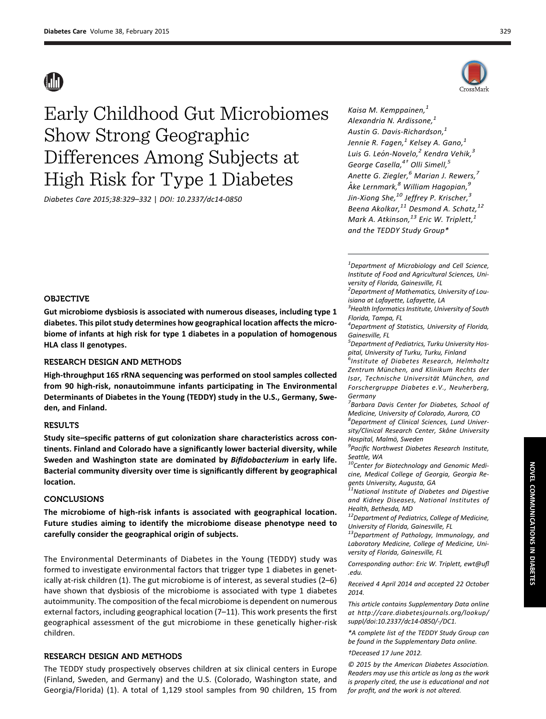# Early Childhood Gut Microbiomes Show Strong Geographic Differences Among Subjects at High Risk for Type 1 Diabetes

Diabetes Care 2015;38:329–332 | DOI: 10.2337/dc14-0850



Kaisa M. Kemppainen, $<sup>1</sup>$ </sup> Alexandria N. Ardissone, $<sup>1</sup>$ </sup> Austin G. Davis-Richardson,<sup>1</sup> Jennie R. Fagen, $^1$  Kelsey A. Gano, $^1$ Luis G. León-Novelo, $^2$  Kendra Vehik, $^3$ George Casella, $4^+$  Olli Simell, $5$ Anette G. Ziegler,<sup>6</sup> Marian J. Rewers,<sup>7</sup> Åke Lernmark,<sup>8</sup> William Hagopian,<sup>9</sup> Jin-Xiong She, $^{10}$  Jeffrey P. Krischer, $^{3}$ Beena Akolkar,<sup>11</sup> Desmond A. Schatz,<sup>12</sup> Mark A. Atkinson, $^{13}$  Eric W. Triplett, $^{1}$ and the TEDDY Study Group\*

 $1$ Department of Microbiology and Cell Science, Institute of Food and Agricultural Sciences, University of Florida, Gainesville, FL <sup>2</sup> Department of Mathematics, University of Lou-

isiana at Lafayette, Lafayette, LA

<sup>3</sup> Health Informatics Institute, University of South Florida, Tampa, FL

4 Department of Statistics, University of Florida, Gainesville, FL

<sup>5</sup>Department of Pediatrics, Turku University Hospital, University of Turku, Turku, Finland

<sup>6</sup>Institute of Diabetes Research, Helmholtz Zentrum München, and Klinikum Rechts der Isar, Technische Universität München, and Forschergruppe Diabetes e.V., Neuherberg, Germany

<sup>7</sup> Barbara Davis Center for Diabetes, School of Medicine, University of Colorado, Aurora, CO <sup>8</sup>Department of Clinical Sciences, Lund University/Clinical Research Center, Skåne University

Hospital, Malmö, Sweden <sup>9</sup> Pacific Northwest Diabetes Research Institute, Seattle, WA

 $10$ Center for Biotechnology and Genomic Medicine, Medical College of Georgia, Georgia Regents University, Augusta, GA

 $11$ National Institute of Diabetes and Digestive and Kidney Diseases, National Institutes of Health, Bethesda, MD

 $12$ Department of Pediatrics, College of Medicine, University of Florida, Gainesville, FL

<sup>13</sup>Department of Pathology, Immunology, and Laboratory Medicine, College of Medicine, University of Florida, Gainesville, FL

Corresponding author: Eric W. Triplett, [ewt@u](mailto:ewt@ufl.edu)fl [.edu](mailto:ewt@ufl.edu).

Received 4 April 2014 and accepted 22 October 2014.

This article contains Supplementary Data online at [http://care.diabetesjournals.org/lookup/](http://care.diabetesjournals.org/lookup/suppl/doi:10.2337/dc14-0850/-/DC1) [suppl/doi:10.2337/dc14-0850/-/DC1.](http://care.diabetesjournals.org/lookup/suppl/doi:10.2337/dc14-0850/-/DC1)

\*A complete list of the TEDDY Study Group can be found in the Supplementary Data online.

†Deceased 17 June 2012.

© 2015 by the American Diabetes Association. Readers may use this article as long as the work is properly cited, the use is educational and not for profit, and the work is not altered.

## OBJECTIVE

Gut microbiome dysbiosis is associated with numerous diseases, including type 1 diabetes. This pilot study determines how geographical location affects the microbiome of infants at high risk for type 1 diabetes in a population of homogenous HLA class II genotypes.

#### RESEARCH DESIGN AND METHODS

High-throughput 16S rRNA sequencing was performed on stool samples collected from 90 high-risk, nonautoimmune infants participating in The Environmental Determinants of Diabetes in the Young (TEDDY) study in the U.S., Germany, Sweden, and Finland.

### RESULTS

Study site–specific patterns of gut colonization share characteristics across continents. Finland and Colorado have a significantly lower bacterial diversity, while Sweden and Washington state are dominated by Bifidobacterium in early life. Bacterial community diversity over time is significantly different by geographical location.

### **CONCLUSIONS**

The microbiome of high-risk infants is associated with geographical location. Future studies aiming to identify the microbiome disease phenotype need to carefully consider the geographical origin of subjects.

The Environmental Determinants of Diabetes in the Young (TEDDY) study was formed to investigate environmental factors that trigger type 1 diabetes in genetically at-risk children (1). The gut microbiome is of interest, as several studies (2–6) have shown that dysbiosis of the microbiome is associated with type 1 diabetes autoimmunity. The composition of the fecal microbiome is dependent on numerous external factors, including geographical location (7–11). This work presents the first geographical assessment of the gut microbiome in these genetically higher-risk children.

#### RESEARCH DESIGN AND METHODS

The TEDDY study prospectively observes children at six clinical centers in Europe (Finland, Sweden, and Germany) and the U.S. (Colorado, Washington state, and Georgia/Florida) (1). A total of 1,129 stool samples from 90 children, 15 from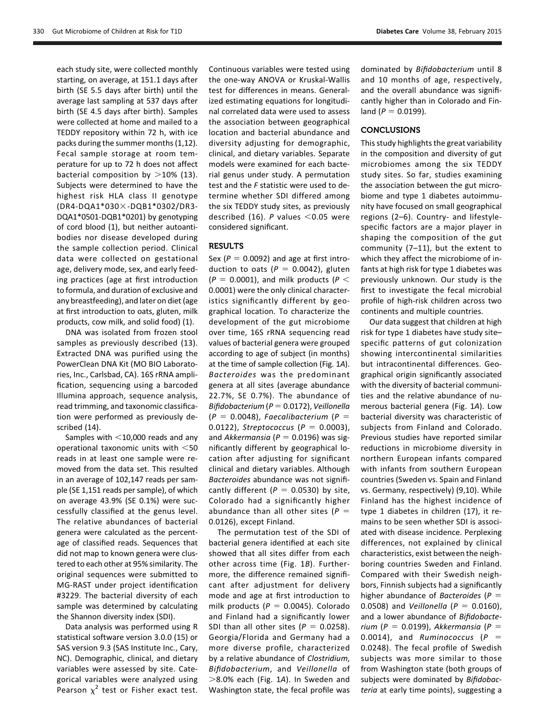each study site, were collected monthly starting, on average, at 151.1 days after birth (SE 5.5 days after birth) until the average last sampling at 537 days after birth (SE 4.5 days after birth). Samples were collected at home and mailed to a TEDDY repository within 72 h, with ice packs during the summer months (1,12). Fecal sample storage at room temperature for up to 72 h does not affect bacterial composition by  $>10\%$  (13). Subjects were determined to have the highest risk HLA class II genotype (DR4-DQA1\*0303-DQB1\*0302/DR3- DQA1\*0501-DQB1\*0201) by genotyping of cord blood (1), but neither autoantibodies nor disease developed during the sample collection period. Clinical data were collected on gestational age, delivery mode, sex, and early feeding practices (age at first introduction to formula, and duration of exclusive and any breastfeeding), and later on diet (age at first introduction to oats, gluten, milk products, cow milk, and solid food) (1).

DNA was isolated from frozen stool samples as previously described (13). Extracted DNA was purified using the PowerClean DNA Kit (MO BIO Laboratories, Inc., Carlsbad, CA). 16S rRNA amplification, sequencing using a barcoded Illumina approach, sequence analysis, read trimming, and taxonomic classification were performed as previously described (14).

Samples with  $<$ 10,000 reads and any operational taxonomic units with  $<$ 50 reads in at least one sample were removed from the data set. This resulted in an average of 102,147 reads per sample (SE 1,151 reads per sample), of which on average 43.9% (SE 0.1%) were successfully classified at the genus level. The relative abundances of bacterial genera were calculated as the percentage of classified reads. Sequences that did not map to known genera were clustered to each other at 95% similarity. The original sequences were submitted to MG-RAST under project identification #3229. The bacterial diversity of each sample was determined by calculating the Shannon diversity index (SDI).

Data analysis was performed using R statistical software version 3.0.0 (15) or SAS version 9.3 (SAS Institute Inc., Cary, NC). Demographic, clinical, and dietary variables were assessed by site. Categorical variables were analyzed using Pearson  $\chi^2$  test or Fisher exact test.

Continuous variables were tested using the one-way ANOVA or Kruskal-Wallis test for differences in means. Generalized estimating equations for longitudinal correlated data were used to assess the association between geographical location and bacterial abundance and diversity adjusting for demographic, clinical, and dietary variables. Separate models were examined for each bacterial genus under study. A permutation test and the F statistic were used to determine whether SDI differed among the six TEDDY study sites, as previously described (16). P values  $<$  0.05 were considered significant.

#### **RESULTS**

Sex ( $P = 0.0092$ ) and age at first introduction to oats ( $P = 0.0042$ ), gluten  $(P = 0.0001)$ , and milk products (P < 0.0001) were the only clinical characteristics significantly different by geographical location. To characterize the development of the gut microbiome over time, 16S rRNA sequencing read values of bacterial genera were grouped according to age of subject (in months) at the time of sample collection (Fig. 1A). Bacteroides was the predominant genera at all sites (average abundance 22.7%, SE 0.7%). The abundance of Bifidobacterium ( $P = 0.0172$ ), Veillonella  $(P = 0.0048)$ , Faecalibacterium (P = 0.0122), Streptococcus ( $P = 0.0003$ ), and Akkermansia ( $P = 0.0196$ ) was significantly different by geographical location after adjusting for significant clinical and dietary variables. Although Bacteroides abundance was not significantly different ( $P = 0.0530$ ) by site, Colorado had a significantly higher abundance than all other sites ( $P =$ 0.0126), except Finland.

The permutation test of the SDI of bacterial genera identified at each site showed that all sites differ from each other across time (Fig. 1B). Furthermore, the difference remained significant after adjustment for delivery mode and age at first introduction to milk products ( $P = 0.0045$ ). Colorado and Finland had a significantly lower SDI than all other sites ( $P = 0.0258$ ). Georgia/Florida and Germany had a more diverse profile, characterized by a relative abundance of Clostridium, Bifidobacterium, and Veillonella of  $>8.0\%$  each (Fig. 1A). In Sweden and Washington state, the fecal profile was

dominated by Bifidobacterium until 8 and 10 months of age, respectively, and the overall abundance was significantly higher than in Colorado and Finland ( $P = 0.0199$ ).

#### **CONCLUSIONS**

This study highlights the great variability in the composition and diversity of gut microbiomes among the six TEDDY study sites. So far, studies examining the association between the gut microbiome and type 1 diabetes autoimmunity have focused on small geographical regions (2–6). Country- and lifestylespecific factors are a major player in shaping the composition of the gut community (7–11), but the extent to which they affect the microbiome of infants at high risk for type 1 diabetes was previously unknown. Our study is the first to investigate the fecal microbial profile of high-risk children across two continents and multiple countries.

Our data suggest that children at high risk for type 1 diabetes have study site– specific patterns of gut colonization showing intercontinental similarities but intracontinental differences. Geographical origin significantly associated with the diversity of bacterial communities and the relative abundance of numerous bacterial genera (Fig. 1A). Low bacterial diversity was characteristic of subjects from Finland and Colorado. Previous studies have reported similar reductions in microbiome diversity in northern European infants compared with infants from southern European countries (Sweden vs. Spain and Finland vs. Germany, respectively) (9,10). While Finland has the highest incidence of type 1 diabetes in children (17), it remains to be seen whether SDI is associated with disease incidence. Perplexing differences, not explained by clinical characteristics, exist between the neighboring countries Sweden and Finland. Compared with their Swedish neighbors, Finnish subjects had a significantly higher abundance of Bacteroides ( $P =$ 0.0508) and *Veillonella* ( $P = 0.0160$ ), and a lower abundance of Bifidobacterium (P = 0.0199), Akkermansia (P = 0.0014), and Ruminococcus ( $P =$ 0.0248). The fecal profile of Swedish subjects was more similar to those from Washington state (both groups of subjects were dominated by Bifidobacteria at early time points), suggesting a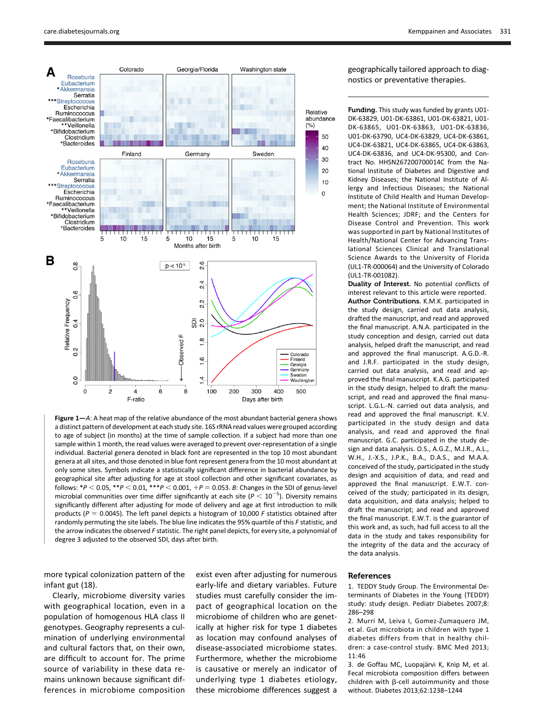

Figure  $1 - A$ : A heat map of the relative abundance of the most abundant bacterial genera shows a distinct pattern of development at each study site. 16S rRNA read values were grouped according to age of subject (in months) at the time of sample collection. If a subject had more than one sample within 1 month, the read values were averaged to prevent over-representation of a single individual. Bacterial genera denoted in black font are represented in the top 10 most abundant genera at all sites, and those denoted in blue font represent genera from the 10 most abundant at only some sites. Symbols indicate a statistically significant difference in bacterial abundance by geographical site after adjusting for age at stool collection and other significant covariates, as follows: \* $P < 0.05$ , \*\* $P < 0.01$ , \*\*\* $P < 0.001$ , + $P = 0.053$ . B: Changes in the SDI of genus-level microbial communities over time differ significantly at each site ( $P < 10^{-5}$ ). Diversity remains significantly different after adjusting for mode of delivery and age at first introduction to milk products ( $P = 0.0045$ ). The left panel depicts a histogram of 10,000 F statistics obtained after randomly permuting the site labels. The blue line indicates the 95% quartile of this F statistic, and the arrow indicates the observed F statistic. The right panel depicts, for every site, a polynomial of degree 3 adjusted to the observed SDI, days after birth.

more typical colonization pattern of the infant gut (18).

Clearly, microbiome diversity varies with geographical location, even in a population of homogenous HLA class II genotypes. Geography represents a culmination of underlying environmental and cultural factors that, on their own, are difficult to account for. The prime source of variability in these data remains unknown because significant differences in microbiome composition

exist even after adjusting for numerous early-life and dietary variables. Future studies must carefully consider the impact of geographical location on the microbiome of children who are genetically at higher risk for type 1 diabetes as location may confound analyses of disease-associated microbiome states. Furthermore, whether the microbiome is causative or merely an indicator of underlying type 1 diabetes etiology, these microbiome differences suggest a geographically tailored approach to diagnostics or preventative therapies.

Funding. This study was funded by grants U01- DK-63829, U01-DK-63861, U01-DK-63821, U01- DK-63865, U01-DK-63863, U01-DK-63836, U01-DK-63790, UC4-DK-63829, UC4-DK-63861, UC4-DK-63821, UC4-DK-63865, UC4-DK-63863, UC4-DK-63836, and UC4-DK-95300, and Contract No. HHSN267200700014C from the National Institute of Diabetes and Digestive and Kidney Diseases; the National Institute of Allergy and Infectious Diseases; the National Institute of Child Health and Human Development; the National Institute of Environmental Health Sciences; JDRF; and the Centers for Disease Control and Prevention. This work was supported in part by National Institutes of Health/National Center for Advancing Translational Sciences Clinical and Translational Science Awards to the University of Florida (UL1-TR-000064) and the University of Colorado (UL1-TR-001082).

Duality of Interest. No potential conflicts of interest relevant to this article were reported. Author Contributions. K.M.K. participated in the study design, carried out data analysis, drafted the manuscript, and read and approved the final manuscript. A.N.A. participated in the study conception and design, carried out data analysis, helped draft the manuscript, and read and approved the final manuscript. A.G.D.-R. and J.R.F. participated in the study design, carried out data analysis, and read and approved the final manuscript. K.A.G. participated in the study design, helped to draft the manuscript, and read and approved the final manuscript. L.G.L.-N. carried out data analysis, and read and approved the final manuscript. K.V. participated in the study design and data analysis, and read and approved the final manuscript. G.C. participated in the study design and data analysis. O.S., A.G.Z., M.J.R., A.L., W.H., J.-X.S., J.P.K., B.A., D.A.S., and M.A.A. conceived of the study, participated in the study design and acquisition of data, and read and approved the final manuscript. E.W.T. conceived of the study; participated in its design, data acquisition, and data analysis; helped to draft the manuscript; and read and approved the final manuscript. E.W.T. is the guarantor of this work and, as such, had full access to all the data in the study and takes responsibility for the integrity of the data and the accuracy of the data analysis.

#### References

1. TEDDY Study Group. The Environmental Determinants of Diabetes in the Young (TEDDY) study: study design. Pediatr Diabetes 2007;8: 286–298

2. Murri M, Leiva I, Gomez-Zumaquero JM, et al. Gut microbiota in children with type 1 diabetes differs from that in healthy children: a case-control study. BMC Med 2013; 11:46

3. de Goffau MC, Luopajärvi K, Knip M, et al. Fecal microbiota composition differs between children with  $\beta$ -cell autoimmunity and those without. Diabetes 2013;62:1238–1244